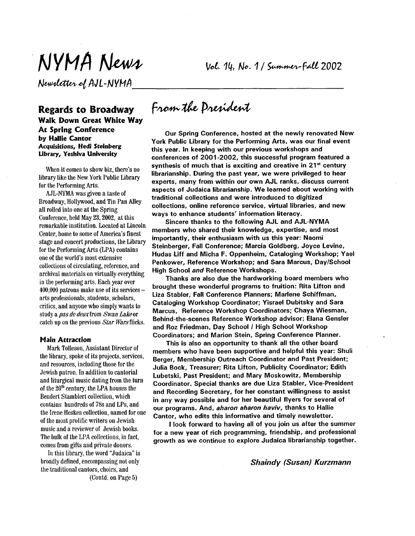Newsletter of AJL-NYMA

Vol. 14, No. 1/ Summer-Fall 2002

#### **Regards to Broadway Walk Down Great White Way At Spring Conference by Hallie Cantor**  Acquisitions, Hedi Steinberg **Library, Yeshiva University**

When it comes to show biz, there's no library like the New York Public Library for the Performing Arts.

Broadway, Hollywood, and Tin Pan Alley all rolled into one at the Spring Conference, held May 23,2002, at this remarkable institution. Located at Lincoln Center, home to some of America's finest stage and concert productions, the Library for the Performing *Arts* (LPA) contains one of the world's most extensive col'lections **of** circulating, reference, and archival materials on virtually everything in the performing arts. Each year over 400,000 patrons make use of its services arts professionals, students, scholars, critics, and anyone who simply wants to study a pasdedeuxfrom *SwanLakeor*  catch up on the previous Star Warsflicks. AJLNYMA was given a taste of

#### **Main Attraction**

Mark Tolleson, Assistant Director of the library, spoke of its projects, services, and resources, including those for the Jewish patron. In addition to cantorial and liturgical music dating from the turn of the **20'"** century, the LPA houses the Bendert Stamblert collection, which contains hundreds of 78s and LPs, and the Irene Heskes collection, named for one of the most prolific writers on Jewish music and a reviewer of Jewish books. The bulk of the LPA collections, in fact, comes from gifts and private donors.

In this library, the word "Judaica" is broadly defined, encompassing not only the traditional cantors, choirs, and (Contd. on Page **5)** 

## From the Dresident

Our Spring Conference, hosted at the newly renovated New York Public Library for the Performing Arts, was our final event this year. In keeping with our previous workshops and conferences of 2001 -2002, this successful program featured a synthesis of much that is exciting and creative in **21"** century librarianship. During the past year, we were privileged to hear experts, many from within our own AJL ranks, discuss current aspects of Judaica librarianship. We learned about working with traditional collections and were introduced to digitized collections, online reference service, virtual libraries, and new ways to enhance students' information literacy.

Sincere thanks to the following AJL and AJL-NYMA members who shared their knowledge, expertise, and most importantly, their enthusiasm with us this year: Naomi Steinberger, Fall Conference; Marcia Goldberg, Joyce Levine, Hudas Liff and Micha F. Oppenheim, Cataloging Workshop; Yael Penkower, Reference Workshop; and Sara Marcus, DaylSchool High School and Reference Workshops.

Thanks are also due the hardworking board members who brought these wonderful programs to fruition: Rita Lifton and Liza Stabler, Fall Conference Planners; Marlene Schiffman, Cataloging Workshop Coordinator; Yisrael Dubitsky and Sara Marcus, Reference Workshop Coordinators; Chaya Wiesman, Behind-the-scenes Reference Workshop advisor; Elana Gensler and Roz Friedman, Day School *I* High School Workshop Coordinators; and Marion Stein, Spring Conference Planner.

This is also an opportunity to thank all the other board members who have been supportive and helpful this year: Shuli Berger, Membership Outreach Coordinator and Past President; Julia Bock, Treasurer; Rita Lifton, Publicity Coordinator; Edith Lubetski, Past President; and Mary Moskowitz, Membership Coordinator. Special thanks are due Liza Stabler, Vice-president and Recording Secretary, for her constant willingness to assist in any way possible and for her beautiful flyers for several of our programs. And, *aharon* aharon *haviv,* thanks to Hallie Cantor, who edits this informative and timely newsletter.

**<sup>I</sup>**look forward to having all of you join us after the summer for a new year of rich programming, friendship, and professional growth as we continue to explore Judaica librarianship together.

*Shaindy (Susan) Kurzmann*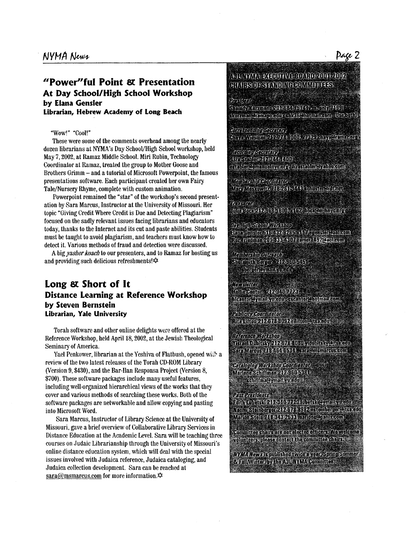## **"Power"fu1 Point** *ei~* **Presentation At Day School/High School Workshop by Elana Gensler librarian, Hebrew Academy of long Beach**

#### "Wow!" "Cool!"

These were some of the comments overhead among the nearly dozen librarians at NYMA's Day School/High School workshop, held May 7,2002, at Ramaz Middle School. Miri Rubin, Technology Coordinator at Ramaz, treated the group to Mother Goose and Brothers Grimm - and a tutorial of Microsoft Powerpoint, the famous presentations software. Each participant created her own Fairy Tale/Nursery Rhyme, complete with custom animation.

ation by Sara Marcus, Instructor at the University of Missouri. Her topic "Giving Credit Where Credit is Due and Detecting Plagiarism" focused on the sadly relevant issues facing librarians and educators today, thanks to the Internet and its cut and paste abilities. Students must **be** taught to avoid plagiarism, and teachers must know how to detect it. Various methods of fraud and detection were discussed. Powerpoint remained the "star" of the workshop's second present-

and providing such delicious refreshments! $\hat{\varphi}$ A big *yashefkoach* to our presenters, and to Ramaz for hosting us

## **Long** *8t.* **Short of It Distance Learning at Reference Workshop by Steven Bernstein librarian, Yale University**

Torah software and other online delights were offered at the Reference Workshop, held April 18,2002, at the Jewish Theological Seminary of America.

review of the two latest releases of the Torah CD-ROM Library (Version 9, **\$430),** and the Bar-Ilan Responsa Project (Version 8, \$700). These software packages include many useful features, including well-organized hierarchical views of the works that they cover and various methods of searching these works. Both of the software packages are networkable and allow copying and pasting into Microsoft Word. Yael Penkower, librarian at the Yeshiva of Flatbush, opened **wit>** a

Sara Marcus, Instructor of Library Science at the University of Missouri, gave a brief overview of Collaborative Library Services in Distance Education at the Academic Level. Sara will be teaching three courses on Judaic Librarianship through the University of Missouri's online distance education system, which will deal with the special issues involved with Judaica reference, Judaica cataloging, and Judaica collection development. Sara can be reached at sara@msmarcus.com for more information. $\phi$ 

NICAYAN SERITTYE BOARD ZON FAND HE TESTES PARTING FORMATIES

Dronach le Siennys (nemenne Aberick Lister (wirecht) (ABB)). Avisaria Temenezione Alkhilmonensano (Ispandi)

Refreshbildlife Sterien Enye Yusman İzversilli yev sayıslamecar

Roberto Stretture **BRISCHOW FOOT RUD** est ble elementofnyer myl fra ståblare, ahorsam,

lambrento economerca Any Action Called the CAS thus critician

REPUBL mma individualist time a tra modernimicano.

In Althur-Service Vol. Chop skingergjeldt Frieske beling abbegrenisk fremennt Roz richnen Zübrisse sinz einer 1920 bollsunt

Montanzhio Witchelm Shuemun terren Arashuarta ( vererement us in <sup>1</sup>

Toreloutre fallment 20210128 de noroymallyredu se moronumalleom

<u> Publicity Rodribbition</u> Hie Lifton 212 by G-8092 Tillfon@BexedD

Reference Hortshop TREE DUINSY A PAIT FEUR TOURSY CREATU Sara Maretts / 18464 5584 - sara@nismaretts.com

Get daning Hartshap Gordfraids Martone Stanffman 2023 in 158 ft f schiffma@ymail.yv.edu...

Past Pregidents Einh mask 2D3400 / 20 mask commencing From Steinberger 2 FAU Perfek as cinberger Cits Adu Martin Stein / 18:348 / 188 martins@nauxsplur

.<br>Pommitera sintro area no cibe e doi fisere : l'Osvelsino volunteers des etcontact the committee characte

WWW. Nows is published twice is year. Spring Summer **SEE INVITION by the ANNINOIA Committee**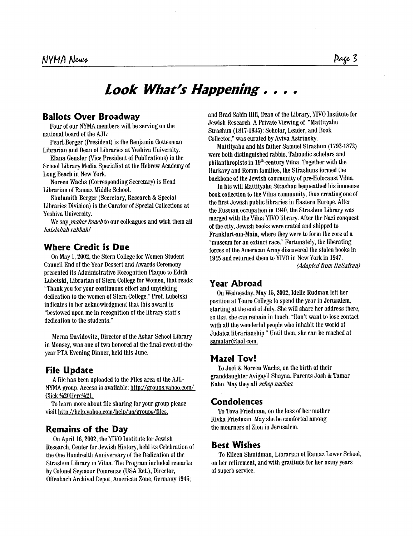# *Look What% Happening.* . . .

#### **Ballots Over Broadway**

Four of our NYMA members will be serving on the national board of the AJL:

Pearl Berger (President) is the Benjamin Gottesman Librarian and Dean of Libraries at Yeshiva University.

Elana Gensler (Vice President of Publications) is the School Library Media Specialist at the Hebrew Academy of Long Beach in New York.

Librarian of Ramaz Middle School. Noreen Wachs (Corresponding Secretary) is Head

Libraries Division) is the Curator of Special Collections at Yeshiva University. Shulamith Berger (Secretary, Research & Special

*hatzhhah rabbahl*  We say *vasher koach* to our colleagues and wish them all

## **Where Credit is Due**

On May 1,2002, the Stern College for Women Student Council End **of** the Year Dessert and Awards Ceremoriy presented its Administrative Recognition Plaque to Edith Lubetski, Librarian of Stern College for Women, that reads: "Thank you **for** your continuous effort and unyielding dedication to the women of Stern College." Prof. Lubetski indicates in her acknowledgment that this award is "bestowed upon me in recognition of the library staff's dedication to the students."

Merna Davidovitz, Director of the Ashar School Library in Monsey, was one of two honored at the final-event-of-theyear PTA Evening Dinner, held this June.

## **File Update**

A file has been uploaded to the Files area of the AJL NYMA group. Access is available: http://groups.vahoo.com/ Click %20Here%21.

To learn more about file sharing for your group please visit http://help.yahoo.com/help/us/groups/files.

## **Remains of the Day**

On April 16,2002, the YIVO Institute for Jewish Research, Center **for** Jewish History, held its Celebration of the One Hundredth Anniversary of the Dedication of the Strashun Library in Vilna. The Program included remarks by Colonel Seymour Pomrenze (USA Ret.), Director, Offenbacti Archival Depot, American Zone, Germany 1945;

and Brad Sabin Hill, Dean of the Library, YIVO Institute for Jewish Research, A Private Viewing of "Mattityahu Strashun (1817-1935): Scholar, Leader, and Book Collector." was curated by Aviva Astrinsky.

were both distinguished rabbis, Talmudic scholars and philanthropists in 19<sup>th</sup>-century Vilna. Together with the Harkavy and Romm families, the Strashuns formed the backbone of the Jewish community of pre-Holocaust Vilna. Mattityahu and his father Samuel Strashun (1793-1872)

In his will Mattityahu Strashun bequeathed his immense book collection to the Vilna community, thus creating one of the first Jewish public libraries in Eastern Europe. After the Russian occupation in 1940, the Strashun Library was merged with the Vilna YIVO library. After the Nazi conquest of the city, Jewish books were crated and shipped to Frankfurt-am-Main, where they were to form the core of a "museum for an extinct race." Fortunately, the liberating forces **of** the American Army discovered the stolen books in 1945 and returned them to YIVO in New York in 1947. *(Adapted from HaSafran)* 

## **Year Abroad**

On Wednesday, May 15,2002, Idelle Rudman left her position at Touro College to spend the year in Jerusalem, starting at the end of July. She will share her address there, so that she can remain in touch. "Don't want to lose contact with all the wonderful people who inhabit the world of Judaica librarianship." Until then, she can be reached at samalar@aol.com.

#### **Maze1 Tov!**

To Joel & Noreen Wachs, on the birth **of** their granddaughter Avigayil Shayna. Parents Josh & Tamar Kahn. May they all *schep nachas.* 

## **Condolences**

**To** Tova Friedman, on the loss of her mother Rivka Friedman. May she be comforted among the mourners of Zion in Jerusalem.

#### **Best Wishes**

To Eileen Shmidman, Librarian of Ramaz Lower School, on her retirement, and with gratitude for her many years of superb service.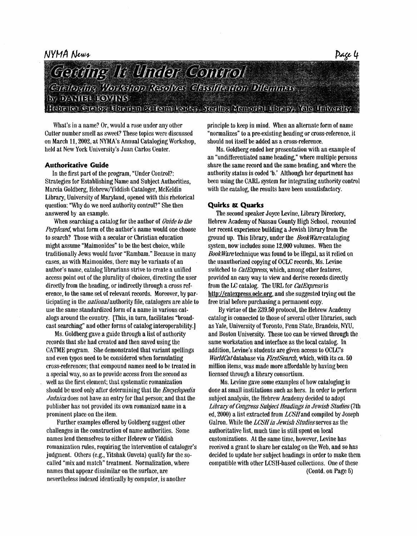#### NYMA News



## Gerühng Ir Under Control Cantoging Workshop Resolves Christite Gon Dilgninus **BY DAVITHE ROWING** fobeiter Greion bloeisen de form kontas Smithe Vomoret bloeisy, Yello University

What's in a name? Or, would a rose under any other Cutter number smell as sweet? These topics were discussed on March **It, 2002,** at NYMA's Annual Cataloging Workshop, held at New York University's Juan Carlos Center.

#### **Authoritative Guide**

In the first part of the program, "Under Control?: Strategies for Establishing Name and Subject Authorities, Marcia Goldberg, Hebrew/Yiddish Cataloger, McKeldin Library, University of Maryland, opened with this rhetorical question: "why do we need authority control?" She then answered by an example.

When searching **a** catalog for the author of Guide to the Perplexed, what form of the author's name would one choose to search? Those with a secular or Christian education might assume "Maimonides" to be the best choice, while traditionally Jews would favor "Rambam." Because in many cases, as with Maimonides, there may be variants of an author's name, catalog librarians strive to create a unified access point out of the plurality **of** choices, directing the user directly from the heading, or indirectly through a cross reference, to the same set of relevant records. Moreover, by participating in the *national* authority file, catalogers are able to use the same standardized form of a name in various catalogs around the country. [This, in turn, facilitates "broadcast searching" and other forms of catalog interoperability.]

Ms. Goldberg gave **a** guide through **a** list **of** authority records that she had created and then saved using the CATME program. She demonstrated that variant spellings and even typos need to be considered when formulating cross-references; that compound names need to be treated in a special way, so as to provide access from the second as well as the first element; that systematic romanization should be used only after determining that the *Encycfopedh Judaica* does not have an entry for that person; and that the publisher has not provided its own romanized name in **a**  prominent place on the item.

Further examples offered by Goldberg suggest other challenges in the construction **of** name authorities. Some names lend themselves to either Hebrew or Yiddish romanization rules, requiring the intervention **of** cataloger's judgment. Others (e.g., Yitshak Guveta) qualify for the socalled "mix and match" treatment. Normalization, where names that appear dissimilar on the surface, **are**  nevertheless indexed identically by computer, is another

principle to keep in mind. When an alternate form **of** name "normalizes" to **a** preexisting heading or cross-reference, it should not itself be added as a cross-reference.

Ms. Goldberg ended her presentation with an example of an "undifferentiated name heading," where multiple persons share the same **record** and the same heading, and where the authority status is **coded** 'b.' Although her department has been using the CARL system for integrating authority control with the catalog, the results have been unsatisfactory.

#### **Quirks** *811* **Quarks**

The second speaker Joyce Levine, Library Directory, Hebrew Academy of Nassau County High School, recounted her recent experience building **a** Jewish library from the ground up. This library, under the **BookWare** cataloging system, now includes some **12,000** volumes. When the *BookMre* technique was found to **be** illegal, as it relied on the unauthorized copying of OCLC records, Ms. Levine switched to *CatExpress*, which, among other features, provided an easy way to view and derive records directly from the LC catalog. The URL for *CatExpress* is http://catexpress.oclc.org, and she suggested trying out the free trial before purchasing **a** permanent copy.

By virtue of the **239.50** protocol, the Hebrew Academy catalog is connected to those of several other libraries, such as Yale, University of Toronto, Penn State, Brandeis, NYU, and Boston University. These too can be viewed through the same workstation and interface as the local catalog. In addition, Levine's students are given access to OCLC's *WorldCat* database via *FirstSearch*, which, with its ca. 50 million items, was made more affordable by having been licensed through a library consortium.

**Ms.** Levine gave some examples of how cataloging is done at small institutions such **as** hers. In order to perform subject analysis, the Hebrew Academy decided to adopt *Libray of* Congress *Subject* Headings in Jewish Studies (7 t h ed, **2000)** a list extracted from LCSHand compiled by Joseph Galron. While the LCSH in Jewish Studies serves as the authoritative list, much time is still spent on local customizations. At the same time, however, Levine has received **a** grant to share her catalog on the Web, and so has decided to update her subject headings in order to make them compatible with other LCSH-based collections. One of these (Contd. on Page 5)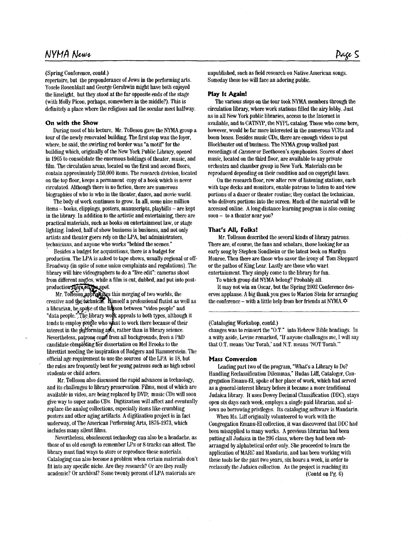## NYMA News

(Spring Conference, contd.)

repertoire, but the preponderance of Jews in the performing arts. Yosele Rosenblatt and George Gershwin might have both enjoyed the limelight, but they stood at the far opposite ends of the stage (with Molly Picon, perhaps, somewhere in the middle?). This is definitely a place where the religious and the secular meet halfway.

#### **On with the Show**

'

tour of the newly renovated building. The first stop was the foyer, where, he said, the swirliog red border was "a motif" **for** the building which, originally of the New York Public Library, opened in 1965 to consolidate the enormous holdings **of** theater, music, and film. The circulation areas, located on the first and second floors, contain approximately 250,000 items. The research division, located on the top floor, keeps a permanent copy **of** a book which is never circulated. Although there is no fiction, there are numerous biographies of who is who in the theater, dance, and movie world. During most of his lecture, **Mr.** Tolleson gave the NYMA group a

The body **of** work continues to grow. In all, some nine million items - books, clippings, posters, manuscripts, playbills -are kept in the library. In addition to the artistic and entertaining, there are practical materials, such as books on entertainment law, or stage lighting. Indeed, half of show business is business, and not only artists and theater goers rely on the LPA, but administrators, technicians, and anyone who works "behind the scenes."

Besides a budget for acquisitions, there is a budget for production. The LPA is asked to tape shows, usually regional or off-Broadway (in spite of some union complaints and regulations). The library will hire videographers to do a "live edit": cameras shoot from different angles, while a film is cut, dubbed, and put into post-

s merging of two worlds, the self a professional flutist **as** well as a librarian, he spoke of the lidison between "video people" and "data people." The library work appeals to both types, although it tends to employ people who want to work there because of their interest in the performing ants, rather than in library science. Nevertheless, patrons come from all backgrounds, from a PhD caudidate cbmpl6tig tfer dissertation on Me1 Brooks to the librettist needing the inspiration of Rodgers and Hammerstein. The official age requirement to use the sources of the LPA is 18, but the rules are frequently bent **for** young patrons such as high school students or child actors.

**Mr.** Tolleson also discussed the rapid advances in techuology, and its challenges to library preservation. Films, most of which are available in video, are beiig replaced by DVD; music CDs will soou give way to super audio CDs. Digitization will affect and eventually replace the analog collections, especially items like crumbling posters and other agiug artifacts. A digitization project is in fact uudenvay, **of** The American Performing *Arts,* **1875-1973,** which includes many silent films.

Nevertheless, obsolescent techuology can also be a headache, as those *of* us old enough to remember LPs or 8-tracks can attest. The library must fud ways to store or reproduce these materials. Cataloging can also become a problem when certain materials don't fit into any specific niche. Are they research? Or are they really academic? Or archival? Some tweuty perceut of **LPA** materials are

unpublished, such as field research on Native American songs. Someday these too will face an adoring public.

#### **Play It Again!**

The various stops on the tour took NYMA members through the circulation library, where work stations filled the airy lobby. Just **as** in all New York public libraries, access to the Internet is available, and to CATNYP, the NYPL catalog. Those who come here, however, would **be** far more interested in the numerous **VCRs** and boom boxes. Besides music CDs, there are enough videos to put Blockbuster ont of business. The NYMA group walked past recordings of *Carmenor* Beethoven's symphonies. Scores of sheet music, located on the third **floor,** are available to any private orchestra and chamber group in New York. Materials can be reproduced depending on their condition and on copyright laws.

On the research floor, row after row **of** listening stations, each with tape decks and monitors, enable patrons to listen to and view portions of a dance or theater routine; they coutact the technician, who delivers portions into the screen. Much of the material will be accessed online. A long-distance learning program is also coming soon - to a theater near you?

#### **That's All, Folks!**

Mr. Tolleson described the several kinds of library patrons. There **are,** of course, the fans and scholars, those looking for an early song by Stephen Sondheim or the latest book on Marilyn Monroe. Then there are those who savor the irony of Tom Stoppard or the pathos of King Lear. Lastly are those **who** wapt entertainment. They simply come to the library for fun.

To which group did NYMA belong? Probably all.

It may not win an Oscar, but the Spring 2002 Conference deserves applause. A big thank you goes to Marion Stein for arranging the conference - with a little help from her friends at NYMA. $\infty$ 

#### (Cataloging Workshop, contd.)

changes was to reinsert the "O.T." into Hebrew Bible headings. In a witty aside, Leviue remarked, **"If** anyone challenges me, **I** will say that O.T. means 'Our Torah,' and N.T. means 'NOT Torah.'"

#### **Mass Conversion**

Leading part two of the program, "What's a Library to Do? Handling Reclassification Dilemmas," Hudas Liff, Cataloger, Congregatiou Emanu-El, spoke of her place of work, which had served as a general-interest library before it became a more traditional Judaica library. It uses Dewey Decimal Classification **(DDC),** stays open six days each week, employs a single paid librarian, and allows no borrowing privileges. Its cataloging software is Maudarin.

Congregation Emanu-El collection, it was discovered that DDC had been misapplied to many works. **A** previous librarian had beeu putting all Judaica in the 296 class, where they had been sub arranged by alphabetical order only. She proceeded to learn the application of MARC and Mandarin, and has been working with these tools for the past two years, six hours a week, in order to reclassify the Judaica collection. As the project is reaching its When Ms. Liff originally volunteered to work with the

(Contd on Pg. **6)**